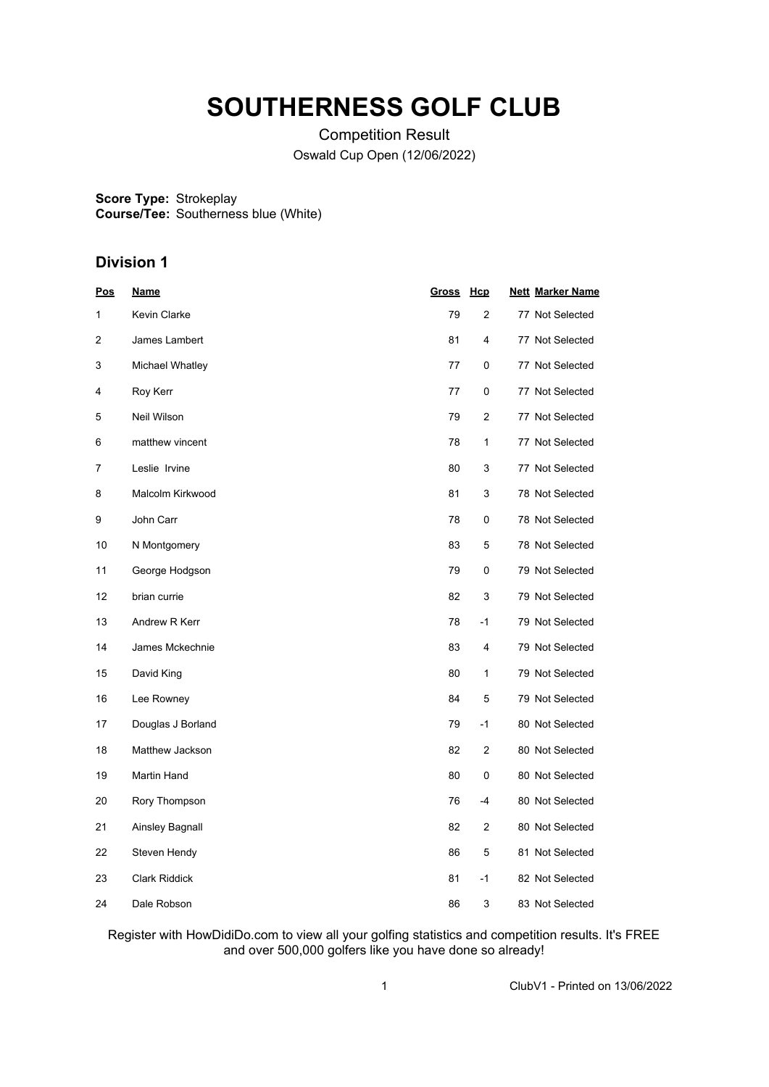# **SOUTHERNESS GOLF CLUB**

Competition Result Oswald Cup Open (12/06/2022)

**Score Type: Course/Tee:** Strokeplay Southerness blue (White)

## **Division 1**

| <u>Pos</u> | <u>Name</u>          | Gross | <u>Hcp</u>     | <b>Nett Marker Name</b> |
|------------|----------------------|-------|----------------|-------------------------|
| 1          | <b>Kevin Clarke</b>  | 79    | $\overline{2}$ | 77 Not Selected         |
| 2          | James Lambert        | 81    | 4              | 77 Not Selected         |
| 3          | Michael Whatley      | 77    | 0              | 77 Not Selected         |
| 4          | Roy Kerr             | 77    | 0              | 77 Not Selected         |
| 5          | Neil Wilson          | 79    | 2              | 77 Not Selected         |
| 6          | matthew vincent      | 78    | 1              | 77 Not Selected         |
| 7          | Leslie Irvine        | 80    | 3              | 77 Not Selected         |
| 8          | Malcolm Kirkwood     | 81    | 3              | 78 Not Selected         |
| 9          | John Carr            | 78    | 0              | 78 Not Selected         |
| 10         | N Montgomery         | 83    | 5              | 78 Not Selected         |
| 11         | George Hodgson       | 79    | 0              | 79 Not Selected         |
| 12         | brian currie         | 82    | 3              | 79 Not Selected         |
| 13         | Andrew R Kerr        | 78    | $-1$           | 79 Not Selected         |
| 14         | James Mckechnie      | 83    | 4              | 79 Not Selected         |
| 15         | David King           | 80    | $\mathbf{1}$   | 79 Not Selected         |
| 16         | Lee Rowney           | 84    | 5              | 79 Not Selected         |
| 17         | Douglas J Borland    | 79    | $-1$           | 80 Not Selected         |
| 18         | Matthew Jackson      | 82    | 2              | 80 Not Selected         |
| 19         | <b>Martin Hand</b>   | 80    | 0              | 80 Not Selected         |
| $20\,$     | Rory Thompson        | 76    | $-4$           | 80 Not Selected         |
| 21         | Ainsley Bagnall      | 82    | 2              | 80 Not Selected         |
| 22         | Steven Hendy         | 86    | 5              | 81 Not Selected         |
| 23         | <b>Clark Riddick</b> | 81    | -1             | 82 Not Selected         |
| 24         | Dale Robson          | 86    | 3              | 83 Not Selected         |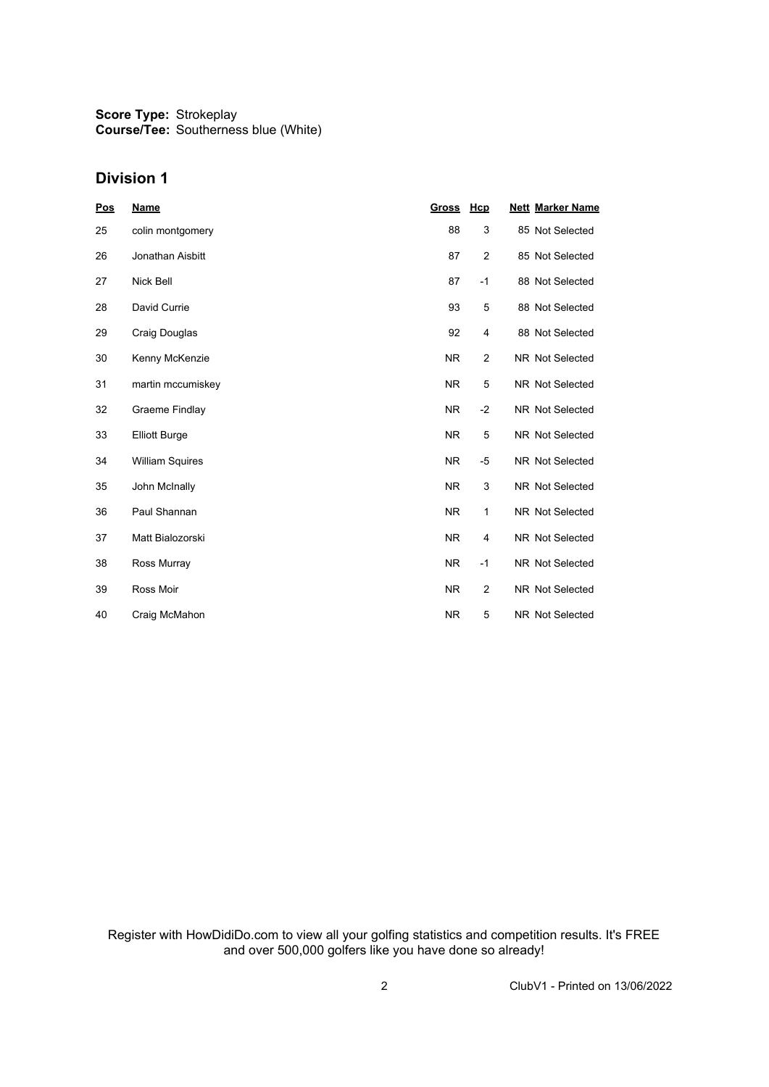#### **Division 1**

| <b>Pos</b> | <b>Name</b>            | <b>Gross</b> | Hcp            | <b>Nett Marker Name</b> |
|------------|------------------------|--------------|----------------|-------------------------|
| 25         | colin montgomery       | 88           | 3              | 85 Not Selected         |
| 26         | Jonathan Aisbitt       | 87           | 2              | 85 Not Selected         |
| 27         | Nick Bell              | 87           | $-1$           | 88 Not Selected         |
| 28         | David Currie           | 93           | 5              | 88 Not Selected         |
| 29         | Craig Douglas          | 92           | 4              | 88 Not Selected         |
| 30         | Kenny McKenzie         | <b>NR</b>    | 2              | <b>NR Not Selected</b>  |
| 31         | martin mccumiskey      | <b>NR</b>    | 5              | <b>NR Not Selected</b>  |
| 32         | Graeme Findlay         | <b>NR</b>    | $-2$           | NR Not Selected         |
| 33         | <b>Elliott Burge</b>   | <b>NR</b>    | 5              | NR Not Selected         |
| 34         | <b>William Squires</b> | <b>NR</b>    | $-5$           | <b>NR Not Selected</b>  |
| 35         | John McInally          | <b>NR</b>    | 3              | <b>NR Not Selected</b>  |
| 36         | Paul Shannan           | <b>NR</b>    | 1              | <b>NR Not Selected</b>  |
| 37         | Matt Bialozorski       | <b>NR</b>    | 4              | NR Not Selected         |
| 38         | Ross Murray            | <b>NR</b>    | $-1$           | <b>NR Not Selected</b>  |
| 39         | Ross Moir              | <b>NR</b>    | $\overline{2}$ | <b>NR Not Selected</b>  |
| 40         | Craig McMahon          | <b>NR</b>    | 5              | <b>NR Not Selected</b>  |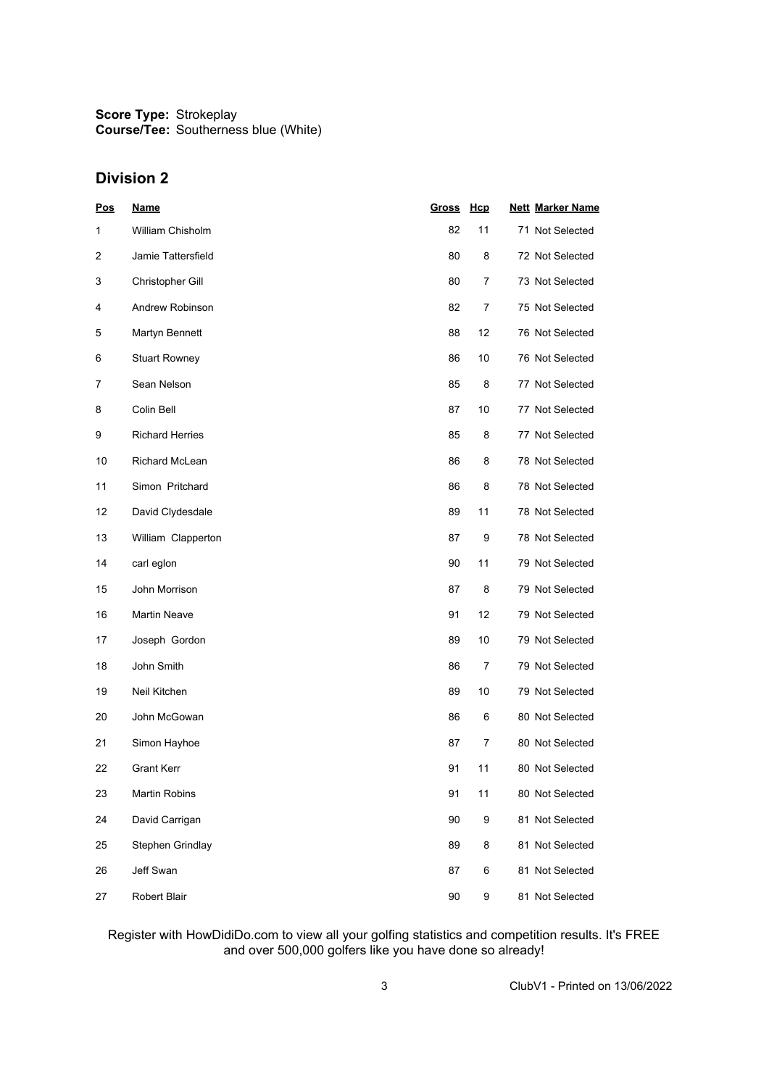### **Division 2**

| Pos            | <b>Name</b>            | <b>Gross</b> | <b>Hcp</b> | <b>Nett Marker Name</b> |
|----------------|------------------------|--------------|------------|-------------------------|
| 1              | William Chisholm       | 82           | 11         | 71 Not Selected         |
| $\overline{c}$ | Jamie Tattersfield     | 80           | 8          | 72 Not Selected         |
| 3              | Christopher Gill       | 80           | 7          | 73 Not Selected         |
| 4              | Andrew Robinson        | 82           | 7          | 75 Not Selected         |
| 5              | Martyn Bennett         | 88           | 12         | 76 Not Selected         |
| 6              | <b>Stuart Rowney</b>   | 86           | 10         | 76 Not Selected         |
| 7              | Sean Nelson            | 85           | 8          | 77 Not Selected         |
| 8              | Colin Bell             | 87           | 10         | 77 Not Selected         |
| 9              | <b>Richard Herries</b> | 85           | 8          | 77 Not Selected         |
| 10             | Richard McLean         | 86           | 8          | 78 Not Selected         |
| 11             | Simon Pritchard        | 86           | 8          | 78 Not Selected         |
| 12             | David Clydesdale       | 89           | 11         | 78 Not Selected         |
| 13             | William Clapperton     | 87           | 9          | 78 Not Selected         |
| 14             | carl eglon             | 90           | 11         | 79 Not Selected         |
| 15             | John Morrison          | 87           | 8          | 79 Not Selected         |
| 16             | <b>Martin Neave</b>    | 91           | 12         | 79 Not Selected         |
| 17             | Joseph Gordon          | 89           | 10         | 79 Not Selected         |
| 18             | John Smith             | 86           | 7          | 79 Not Selected         |
| 19             | Neil Kitchen           | 89           | 10         | 79 Not Selected         |
| 20             | John McGowan           | 86           | 6          | 80 Not Selected         |
| 21             | Simon Hayhoe           | 87           | 7          | 80 Not Selected         |
| 22             | Grant Kerr             | 91           | 11         | 80 Not Selected         |
| 23             | Martin Robins          | 91           | 11         | 80 Not Selected         |
| 24             | David Carrigan         | 90           | 9          | 81 Not Selected         |
| 25             | Stephen Grindlay       | 89           | 8          | 81 Not Selected         |
| 26             | Jeff Swan              | 87           | 6          | 81 Not Selected         |
| 27             | Robert Blair           | 90           | 9          | 81 Not Selected         |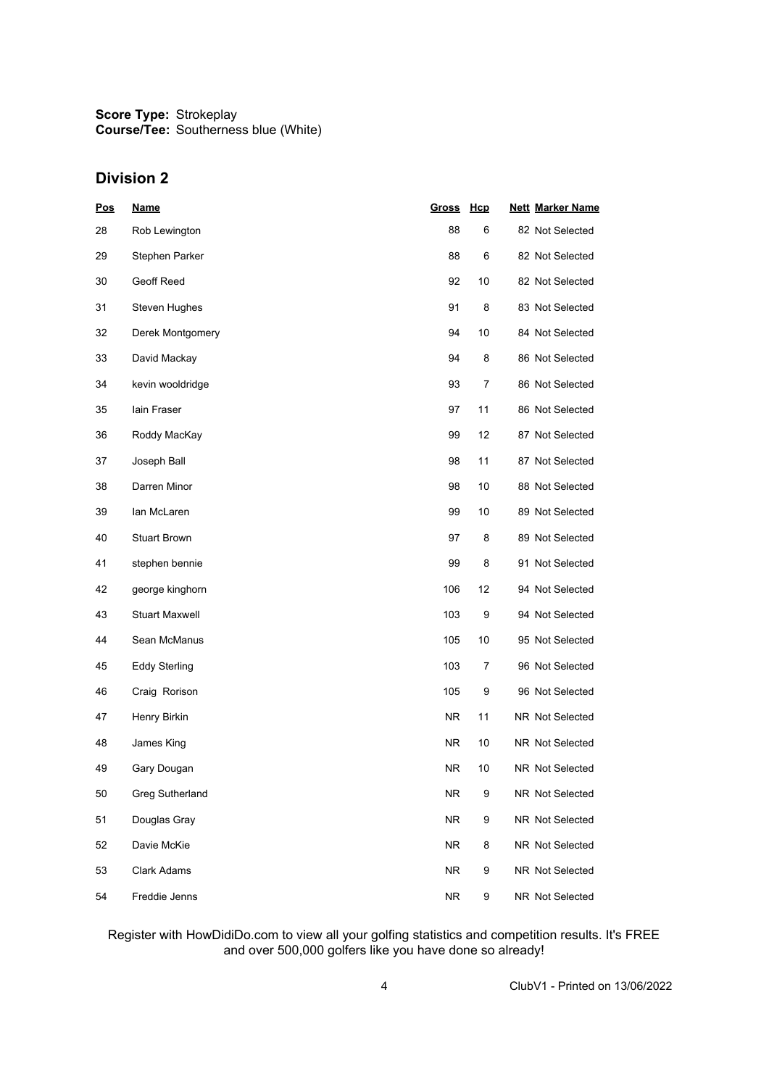### **Division 2**

| <b>Pos</b> | <b>Name</b>            | <b>Gross</b> | Hcp | <b>Nett Marker Name</b> |
|------------|------------------------|--------------|-----|-------------------------|
| 28         | Rob Lewington          | 88           | 6   | 82 Not Selected         |
| 29         | Stephen Parker         | 88           | 6   | 82 Not Selected         |
| 30         | Geoff Reed             | 92           | 10  | 82 Not Selected         |
| 31         | Steven Hughes          | 91           | 8   | 83 Not Selected         |
| 32         | Derek Montgomery       | 94           | 10  | 84 Not Selected         |
| 33         | David Mackay           | 94           | 8   | 86 Not Selected         |
| 34         | kevin wooldridge       | 93           | 7   | 86 Not Selected         |
| 35         | lain Fraser            | 97           | 11  | 86 Not Selected         |
| 36         | Roddy MacKay           | 99           | 12  | 87 Not Selected         |
| 37         | Joseph Ball            | 98           | 11  | 87 Not Selected         |
| 38         | Darren Minor           | 98           | 10  | 88 Not Selected         |
| 39         | lan McLaren            | 99           | 10  | 89 Not Selected         |
| 40         | <b>Stuart Brown</b>    | 97           | 8   | 89 Not Selected         |
| 41         | stephen bennie         | 99           | 8   | 91 Not Selected         |
| 42         | george kinghorn        | 106          | 12  | 94 Not Selected         |
| 43         | <b>Stuart Maxwell</b>  | 103          | 9   | 94 Not Selected         |
| 44         | Sean McManus           | 105          | 10  | 95 Not Selected         |
| 45         | <b>Eddy Sterling</b>   | 103          | 7   | 96 Not Selected         |
| 46         | Craig Rorison          | 105          | 9   | 96 Not Selected         |
| 47         | Henry Birkin           | <b>NR</b>    | 11  | NR Not Selected         |
| 48         | James King             | NR.          | 10  | NR Not Selected         |
| 49         | Gary Dougan            | NR.          | 10  | NR Not Selected         |
| 50         | <b>Greg Sutherland</b> | <b>NR</b>    | 9   | NR Not Selected         |
| 51         | Douglas Gray           | <b>NR</b>    | 9   | NR Not Selected         |
| 52         | Davie McKie            | <b>NR</b>    | 8   | NR Not Selected         |
| 53         | <b>Clark Adams</b>     | <b>NR</b>    | 9   | NR Not Selected         |
| 54         | Freddie Jenns          | ${\sf NR}$   | 9   | NR Not Selected         |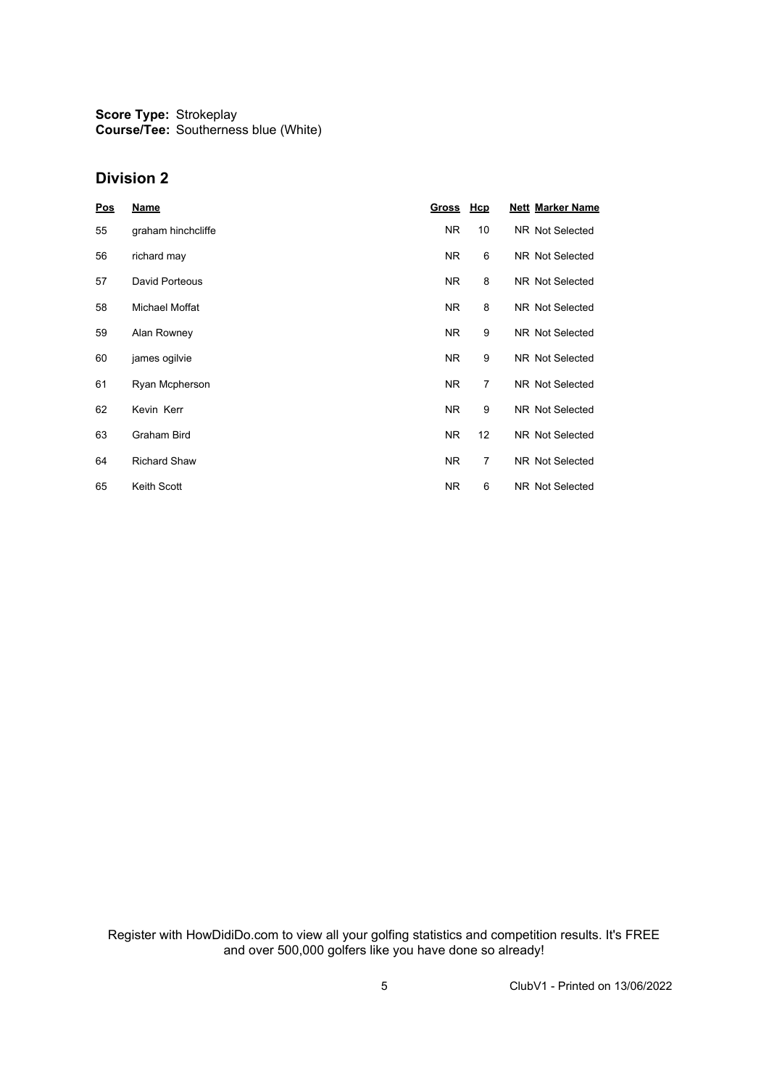#### **Division 2**

| Pos | <b>Name</b>           | Gross Hcp |                | <b>Nett Marker Name</b> |
|-----|-----------------------|-----------|----------------|-------------------------|
| 55  | graham hinchcliffe    | NR.       | 10             | NR Not Selected         |
| 56  | richard may           | NR.       | 6              | NR Not Selected         |
| 57  | David Porteous        | NR.       | 8              | NR Not Selected         |
| 58  | <b>Michael Moffat</b> | NR.       | 8              | NR Not Selected         |
| 59  | Alan Rowney           | NR.       | 9              | NR Not Selected         |
| 60  | james ogilvie         | NR.       | 9              | <b>NR Not Selected</b>  |
| 61  | Ryan Mcpherson        | NR.       | $\overline{7}$ | <b>NR Not Selected</b>  |
| 62  | Kevin Kerr            | NR.       | 9              | NR Not Selected         |
| 63  | <b>Graham Bird</b>    | NR.       | 12             | NR Not Selected         |
| 64  | <b>Richard Shaw</b>   | NR.       | $\overline{7}$ | NR Not Selected         |
| 65  | <b>Keith Scott</b>    | NR.       | 6              | NR Not Selected         |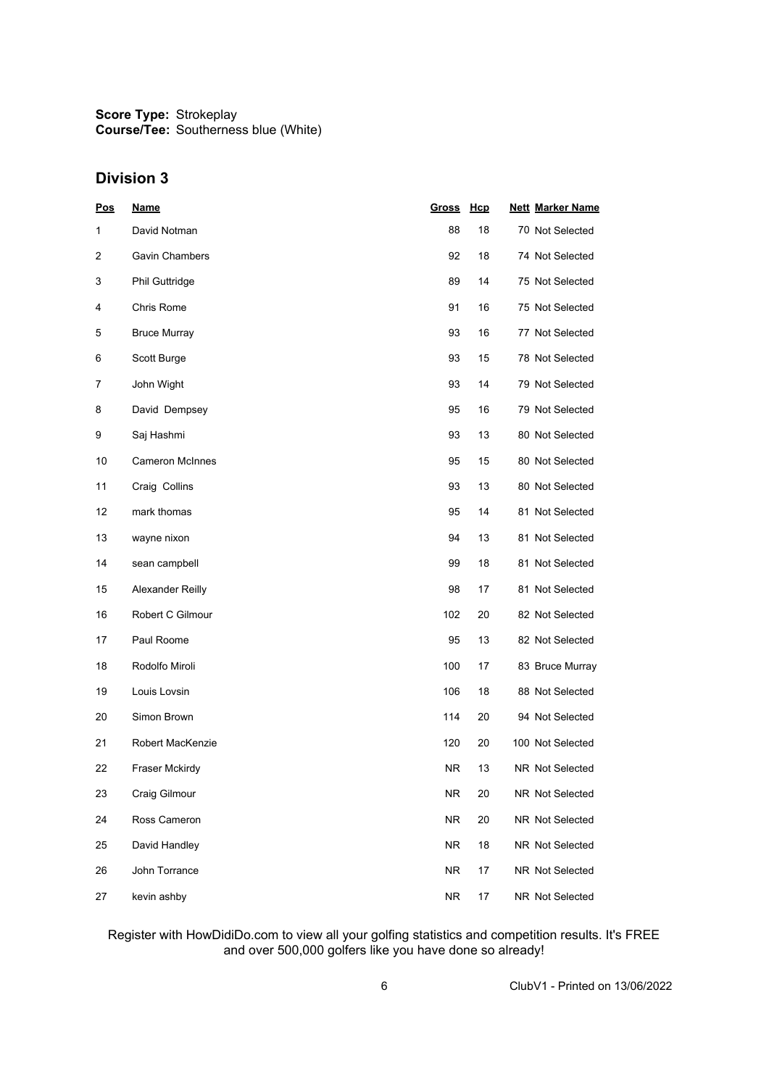### **Division 3**

| Pos | <b>Name</b>            | <b>Gross</b> | <b>Hcp</b> | <b>Nett Marker Name</b> |
|-----|------------------------|--------------|------------|-------------------------|
| 1   | David Notman           | 88           | 18         | 70 Not Selected         |
| 2   | <b>Gavin Chambers</b>  | 92           | 18         | 74 Not Selected         |
| 3   | Phil Guttridge         | 89           | 14         | 75 Not Selected         |
| 4   | Chris Rome             | 91           | 16         | 75 Not Selected         |
| 5   | <b>Bruce Murray</b>    | 93           | 16         | 77 Not Selected         |
| 6   | Scott Burge            | 93           | 15         | 78 Not Selected         |
| 7   | John Wight             | 93           | 14         | 79 Not Selected         |
| 8   | David Dempsey          | 95           | 16         | 79 Not Selected         |
| 9   | Saj Hashmi             | 93           | 13         | 80 Not Selected         |
| 10  | <b>Cameron McInnes</b> | 95           | 15         | 80 Not Selected         |
| 11  | Craig Collins          | 93           | 13         | 80 Not Selected         |
| 12  | mark thomas            | 95           | 14         | 81 Not Selected         |
| 13  | wayne nixon            | 94           | 13         | 81 Not Selected         |
| 14  | sean campbell          | 99           | 18         | 81 Not Selected         |
| 15  | Alexander Reilly       | 98           | 17         | 81 Not Selected         |
| 16  | Robert C Gilmour       | 102          | 20         | 82 Not Selected         |
| 17  | Paul Roome             | 95           | 13         | 82 Not Selected         |
| 18  | Rodolfo Miroli         | 100          | 17         | 83 Bruce Murray         |
| 19  | Louis Lovsin           | 106          | 18         | 88 Not Selected         |
| 20  | Simon Brown            | 114          | 20         | 94 Not Selected         |
| 21  | Robert MacKenzie       | 120          | 20         | 100 Not Selected        |
| 22  | Fraser Mckirdy         | NR.          | 13         | NR Not Selected         |
| 23  | Craig Gilmour          | <b>NR</b>    | 20         | NR Not Selected         |
| 24  | Ross Cameron           | <b>NR</b>    | 20         | NR Not Selected         |
| 25  | David Handley          | <b>NR</b>    | 18         | NR Not Selected         |
| 26  | John Torrance          | <b>NR</b>    | 17         | NR Not Selected         |
| 27  | kevin ashby            | <b>NR</b>    | 17         | NR Not Selected         |